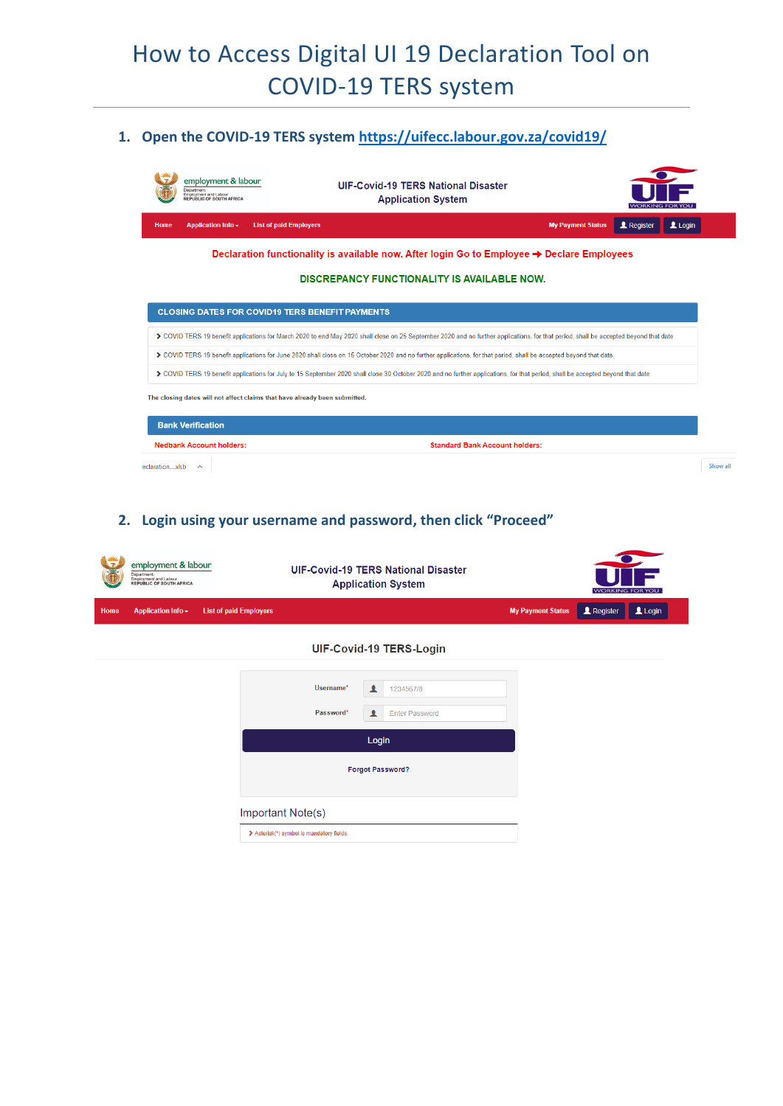# How to Access Digital UI 19 Declaration Tool on COVID-19 TERS system

#### **1. Open the COVID-19 TERS system<https://uifecc.labour.gov.za/covid19/>**

| employment & labour<br><b>Department:</b><br>Employment and Labour<br>REPUBLIC OF SOUTH AFRICA                                                                                  | <b>UIF-Covid-19 TERS National Disaster</b><br><b>Application System</b><br><b>WORKING FOR YOU</b>                                                                                      |                          |                                      |          |  |  |  |
|---------------------------------------------------------------------------------------------------------------------------------------------------------------------------------|----------------------------------------------------------------------------------------------------------------------------------------------------------------------------------------|--------------------------|--------------------------------------|----------|--|--|--|
| <b>List of paid Employers</b><br>Application Info -<br>Home                                                                                                                     |                                                                                                                                                                                        | <b>My Payment Status</b> | $\mathbf 1$ Login<br><b>Register</b> |          |  |  |  |
|                                                                                                                                                                                 | Declaration functionality is available now. After login Go to Employee → Declare Employees                                                                                             |                          |                                      |          |  |  |  |
|                                                                                                                                                                                 | <b>DISCREPANCY FUNCTIONALITY IS AVAILABLE NOW.</b>                                                                                                                                     |                          |                                      |          |  |  |  |
| <b>CLOSING DATES FOR COVID19 TERS BENEFIT PAYMENTS</b>                                                                                                                          |                                                                                                                                                                                        |                          |                                      |          |  |  |  |
|                                                                                                                                                                                 | > COVID TERS 19 benefit applications for March 2020 to end May 2020 shall close on 25 September 2020 and no further applications, for that period, shall be accepted beyond that date. |                          |                                      |          |  |  |  |
|                                                                                                                                                                                 | > COVID TERS 19 benefit applications for June 2020 shall close on 15 October 2020 and no further applications, for that period, shall be accepted beyond that date.                    |                          |                                      |          |  |  |  |
| > COVID TERS 19 benefit applications for July to 15 September 2020 shall close 30 October 2020 and no further applications, for that period, shall be accepted beyond that date |                                                                                                                                                                                        |                          |                                      |          |  |  |  |
| The closing dates will not affect claims that have already been submitted.                                                                                                      |                                                                                                                                                                                        |                          |                                      |          |  |  |  |
| <b>Bank Verification</b>                                                                                                                                                        |                                                                                                                                                                                        |                          |                                      |          |  |  |  |
| <b>Nedbank Account holders:</b>                                                                                                                                                 | <b>Standard Bank Account holders:</b>                                                                                                                                                  |                          |                                      |          |  |  |  |
| eclarationxlsb<br>$\widehat{\phantom{a}}$                                                                                                                                       |                                                                                                                                                                                        |                          |                                      | Show all |  |  |  |

 $\begin{tabular}{ll} **ccuration...xlsb & $\widehat{\frown}$ \\ \end{tabular}**$ 

### **2. Login using your username and password, then click "Proceed"**



#### UIF-Covid-19 TERS-Login

| Username*<br>Password*                    | $\mathbf{r}$<br>1234567/8<br>$\mathbf{r}$<br><b>Enter Password</b> |  |  |  |  |
|-------------------------------------------|--------------------------------------------------------------------|--|--|--|--|
| Login                                     |                                                                    |  |  |  |  |
| <b>Forgot Password?</b>                   |                                                                    |  |  |  |  |
| Important Note(s)                         |                                                                    |  |  |  |  |
| > Asterisk(*) symbol is mandatory fields. |                                                                    |  |  |  |  |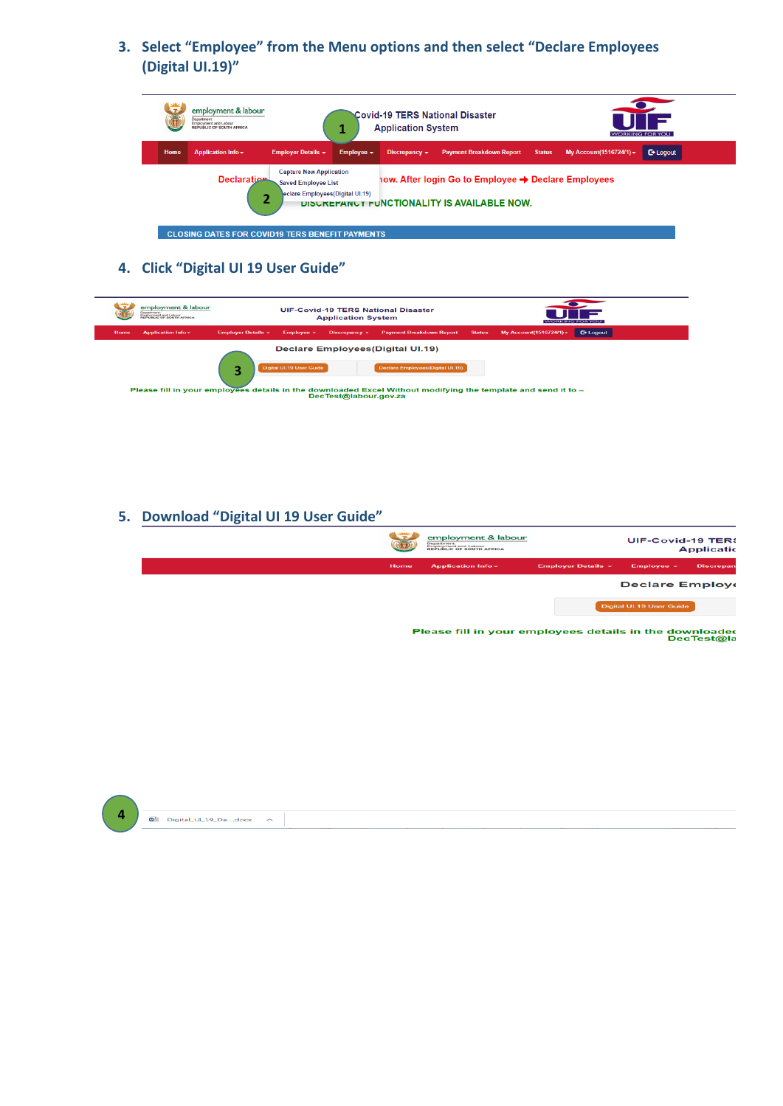**3. Select "Employee" from the Menu options and then select "Declare Employees (Digital UI.19)"**



#### **4. Click "Digital UI 19 User Guide"**

|                                                                                                                                        | employment & labour<br>Employment and Lebour<br>REPUBLIC OF SOUTH AFRICA                                      | <b>UIF-Covid-19 TERS National Disaster</b><br><b>Application System</b> |              |                    |                                 | <b>WORKING FOR YOU</b> |                              |            |
|----------------------------------------------------------------------------------------------------------------------------------------|---------------------------------------------------------------------------------------------------------------|-------------------------------------------------------------------------|--------------|--------------------|---------------------------------|------------------------|------------------------------|------------|
| Home                                                                                                                                   | <b>Application Info -</b>                                                                                     | <b>Employer Details -</b>                                               | $Emplovee -$ | Discrepancy $\sim$ | <b>Payment Breakdown Report</b> | <b>Status</b>          | My Account(1516724/1) $\div$ | $E+Logout$ |
|                                                                                                                                        | <b>Declare Employees (Digital UI.19)</b><br>Digital UI.19 User Guide<br>Declare Employees(Digital UI.19)<br>3 |                                                                         |              |                    |                                 |                        |                              |            |
| Please fill in your employees details in the downloaded Excel Without modifying the template and send it to -<br>DecTest@labour.gov.za |                                                                                                               |                                                                         |              |                    |                                 |                        |                              |            |

#### **5. Download "Digital UI 19 User Guide"**

|      | employment & labour<br>Department:<br>Employment and Labour<br>REPUBLIC OF SOUTH AFRICA |                           | <b>UIF-Covid-19 TERS</b><br><b>Applicatio</b> |                  |
|------|-----------------------------------------------------------------------------------------|---------------------------|-----------------------------------------------|------------------|
| Home | <b>Application Info -</b>                                                               | <b>Employer Details +</b> | $Emplovee -$                                  | <b>Discrepan</b> |
|      |                                                                                         |                           | <b>Declare Employe</b>                        |                  |
|      |                                                                                         |                           | Digital UI.19 User Guide                      |                  |

Please fill in your employees details in the downloaded<br>DecTest@la

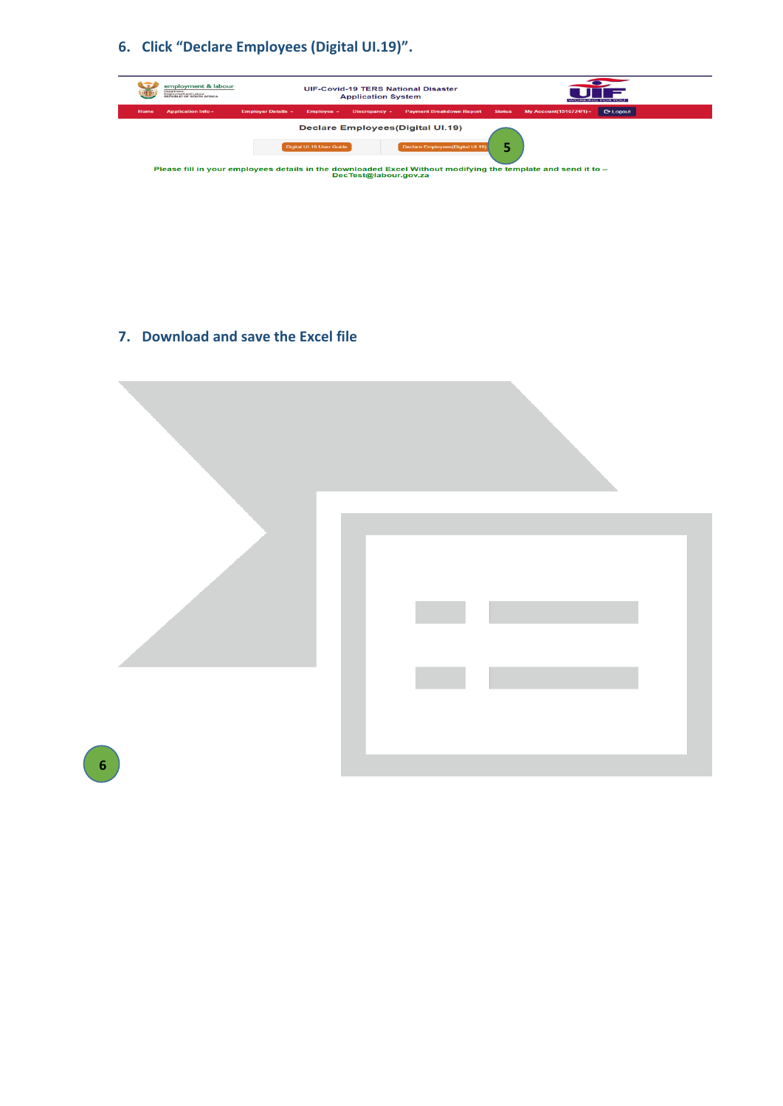**6. Click "Declare Employees (Digital UI.19)".**



**7. Download and save the Excel file**

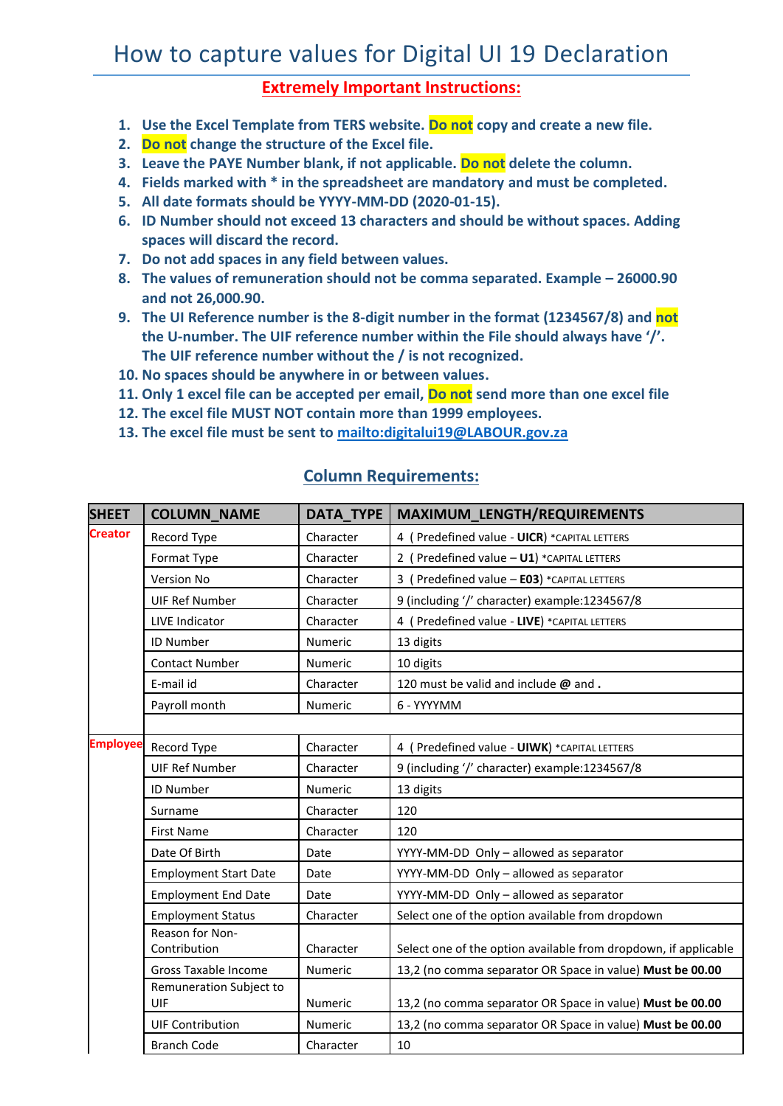## **Extremely Important Instructions:**

- **1. Use the Excel Template from TERS website. Do not copy and create a new file.**
- **2. Do not change the structure of the Excel file.**
- **3. Leave the PAYE Number blank, if not applicable. Do not delete the column.**
- **4. Fields marked with \* in the spreadsheet are mandatory and must be completed.**
- **5. All date formats should be YYYY-MM-DD (2020-01-15).**
- **6. ID Number should not exceed 13 characters and should be without spaces. Adding spaces will discard the record.**
- **7. Do not add spaces in any field between values.**
- **8. The values of remuneration should not be comma separated. Example – 26000.90 and not 26,000.90.**
- **9. The UI Reference number is the 8-digit number in the format (1234567/8) and not the U-number. The UIF reference number within the File should always have '/'. The UIF reference number without the / is not recognized.**
- **10. No spaces should be anywhere in or between values.**
- **11. Only 1 excel file can be accepted per email, Do not send more than one excel file**
- **12. The excel file MUST NOT contain more than 1999 employees.**
- **13. The excel file must be sent to<mailto:digitalui19@LABOUR.gov.za>**

| <b>SHEET</b>    | <b>COLUMN NAME</b>              | <b>DATA TYPE</b> | <b>MAXIMUM LENGTH/REQUIREMENTS</b>                              |  |  |
|-----------------|---------------------------------|------------------|-----------------------------------------------------------------|--|--|
| <b>Creator</b>  | Record Type                     | Character        | 4 ( Predefined value - UICR) *CAPITAL LETTERS                   |  |  |
|                 | Format Type                     | Character        | 2 (Predefined value - U1) *CAPITAL LETTERS                      |  |  |
|                 | Version No                      | Character        | 3 (Predefined value - E03) *CAPITAL LETTERS                     |  |  |
|                 | <b>UIF Ref Number</b>           | Character        | 9 (including '/' character) example:1234567/8                   |  |  |
|                 | <b>LIVE Indicator</b>           | Character        | 4 ( Predefined value - LIVE) *CAPITAL LETTERS                   |  |  |
|                 | ID Number                       | Numeric          | 13 digits                                                       |  |  |
|                 | <b>Contact Number</b>           | Numeric          | 10 digits                                                       |  |  |
|                 | E-mail id                       | Character        | 120 must be valid and include @ and.                            |  |  |
|                 | Payroll month                   | Numeric          | 6 - YYYYMM                                                      |  |  |
|                 |                                 |                  |                                                                 |  |  |
| <b>Employee</b> | Record Type                     | Character        | 4 ( Predefined value - UIWK) *CAPITAL LETTERS                   |  |  |
|                 | <b>UIF Ref Number</b>           | Character        | 9 (including '/' character) example:1234567/8                   |  |  |
|                 | ID Number                       | Numeric          | 13 digits                                                       |  |  |
|                 | Surname                         | Character        | 120                                                             |  |  |
|                 | <b>First Name</b>               | Character        | 120                                                             |  |  |
|                 | Date Of Birth                   | Date             | YYYY-MM-DD Only - allowed as separator                          |  |  |
|                 | <b>Employment Start Date</b>    | Date             | YYYY-MM-DD Only - allowed as separator                          |  |  |
|                 | <b>Employment End Date</b>      | Date             | YYYY-MM-DD Only - allowed as separator                          |  |  |
|                 | <b>Employment Status</b>        | Character        | Select one of the option available from dropdown                |  |  |
|                 | Reason for Non-<br>Contribution | Character        | Select one of the option available from dropdown, if applicable |  |  |
|                 | <b>Gross Taxable Income</b>     | Numeric          | 13,2 (no comma separator OR Space in value) Must be 00.00       |  |  |
|                 | Remuneration Subject to<br>UIF  | <b>Numeric</b>   | 13,2 (no comma separator OR Space in value) Must be 00.00       |  |  |
|                 | <b>UIF Contribution</b>         | <b>Numeric</b>   | 13,2 (no comma separator OR Space in value) Must be 00.00       |  |  |
|                 | <b>Branch Code</b>              | Character        | 10                                                              |  |  |

### **Column Requirements:**